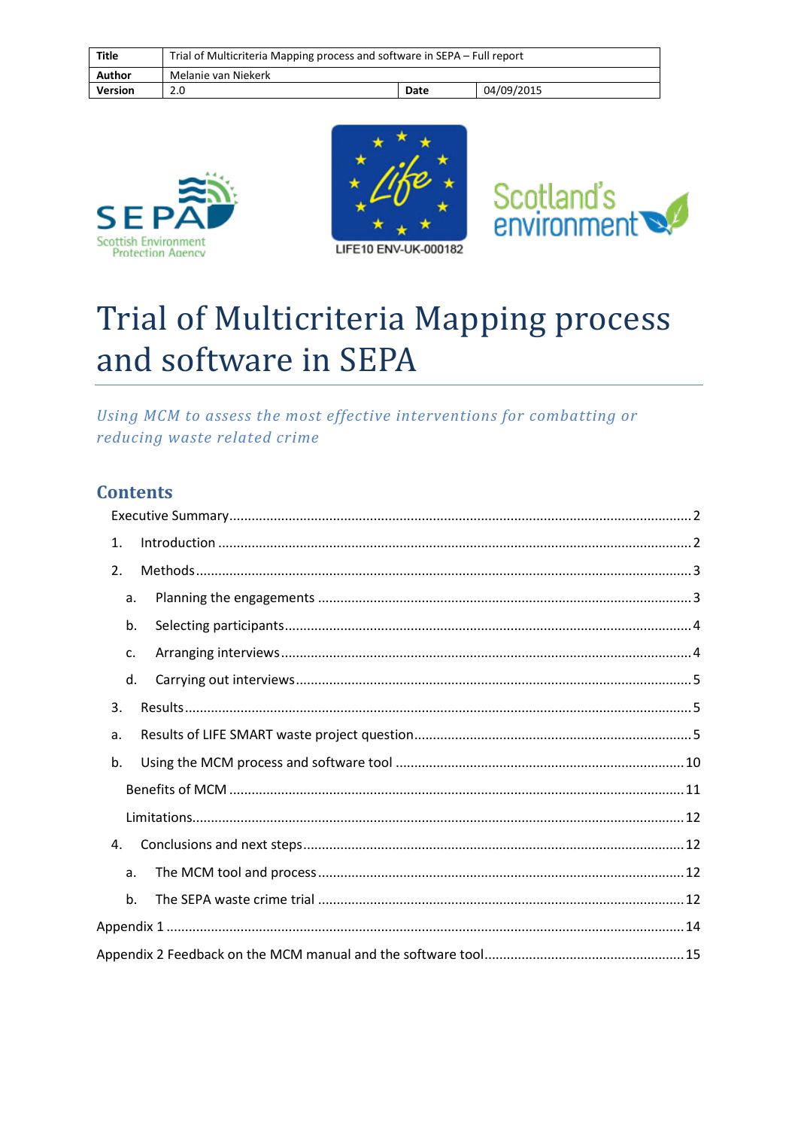| <b>Title</b>   | Trial of Multicriteria Mapping process and software in SEPA – Full report |      |            |
|----------------|---------------------------------------------------------------------------|------|------------|
| Author         | Melanie van Niekerk                                                       |      |            |
| <b>Version</b> | 2.0                                                                       | Date | 04/09/2015 |









# Trial of Multicriteria Mapping process and software in SEPA

Using MCM to assess the most effective interventions for combatting or reducing waste related crime

# **Contents**

|  | 1. |  |  |  |
|--|----|--|--|--|
|  | 2. |  |  |  |
|  | a. |  |  |  |
|  | b. |  |  |  |
|  | c. |  |  |  |
|  | d. |  |  |  |
|  | 3. |  |  |  |
|  | a. |  |  |  |
|  | b. |  |  |  |
|  |    |  |  |  |
|  |    |  |  |  |
|  | 4. |  |  |  |
|  | a. |  |  |  |
|  | b. |  |  |  |
|  |    |  |  |  |
|  |    |  |  |  |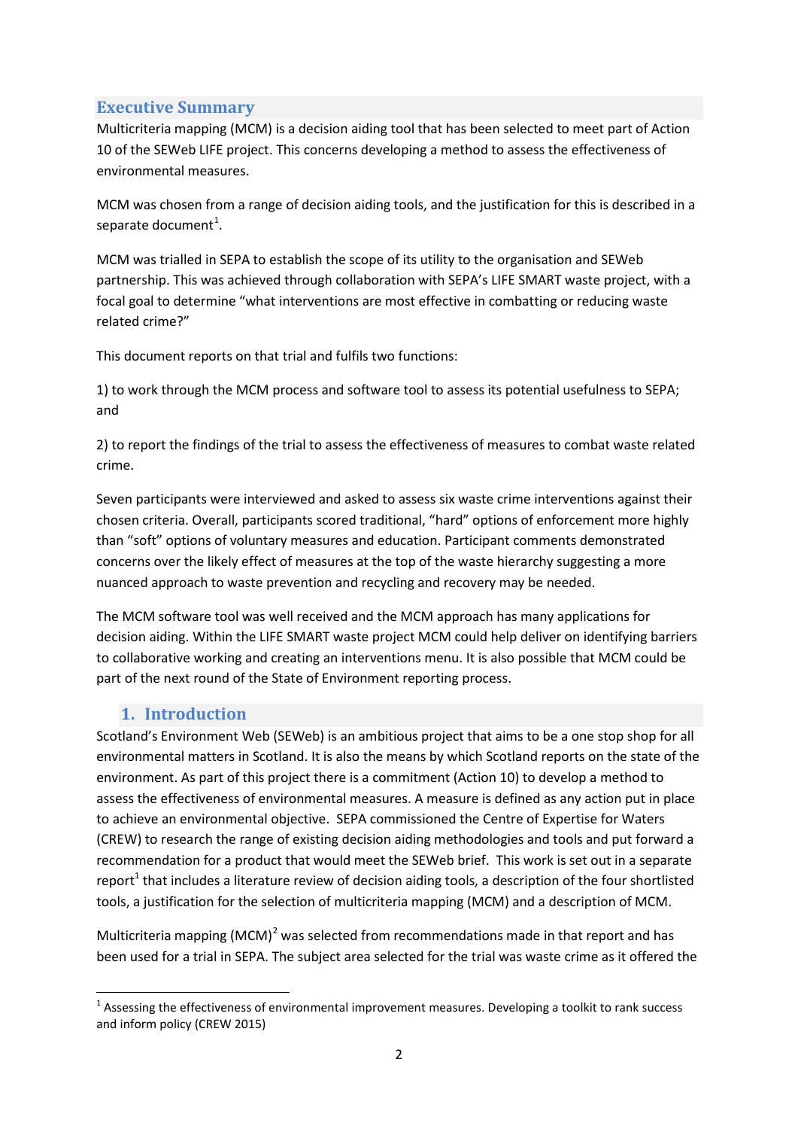## <span id="page-1-0"></span>**Executive Summary**

Multicriteria mapping (MCM) is a decision aiding tool that has been selected to meet part of Action 10 of the SEWeb LIFE project. This concerns developing a method to assess the effectiveness of environmental measures.

MCM was chosen from a range of decision aiding tools, and the justification for this is described in a separate document<sup>[1](#page-1-2)</sup>.

MCM was trialled in SEPA to establish the scope of its utility to the organisation and SEWeb partnership. This was achieved through collaboration with SEPA's LIFE SMART waste project, with a focal goal to determine "what interventions are most effective in combatting or reducing waste related crime?"

This document reports on that trial and fulfils two functions:

1) to work through the MCM process and software tool to assess its potential usefulness to SEPA; and

2) to report the findings of the trial to assess the effectiveness of measures to combat waste related crime.

Seven participants were interviewed and asked to assess six waste crime interventions against their chosen criteria. Overall, participants scored traditional, "hard" options of enforcement more highly than "soft" options of voluntary measures and education. Participant comments demonstrated concerns over the likely effect of measures at the top of the waste hierarchy suggesting a more nuanced approach to waste prevention and recycling and recovery may be needed.

The MCM software tool was well received and the MCM approach has many applications for decision aiding. Within the LIFE SMART waste project MCM could help deliver on identifying barriers to collaborative working and creating an interventions menu. It is also possible that MCM could be part of the next round of the State of Environment reporting process.

# **1. Introduction**

<span id="page-1-1"></span>Scotland's Environment Web (SEWeb) is an ambitious project that aims to be a one stop shop for all environmental matters in Scotland. It is also the means by which Scotland reports on the state of the environment. As part of this project there is a commitment (Action 10) to develop a method to assess the effectiveness of environmental measures. A measure is defined as any action put in place to achieve an environmental objective. SEPA commissioned the Centre of Expertise for Waters (CREW) to research the range of existing decision aiding methodologies and tools and put forward a recommendation for a product that would meet the SEWeb brief. This work is set out in a separate report<sup>1</sup> that includes a literature review of decision aiding tools, a description of the four shortlisted tools, a justification for the selection of multicriteria mapping (MCM) and a description of MCM.

Multicriteria mapping (MCM)<sup>[2](#page-1-3)</sup> was selected from recommendations made in that report and has been used for a trial in SEPA. The subject area selected for the trial was waste crime as it offered the

<span id="page-1-3"></span><span id="page-1-2"></span> $1$  Assessing the effectiveness of environmental improvement measures. Developing a toolkit to rank success and inform policy (CREW 2015)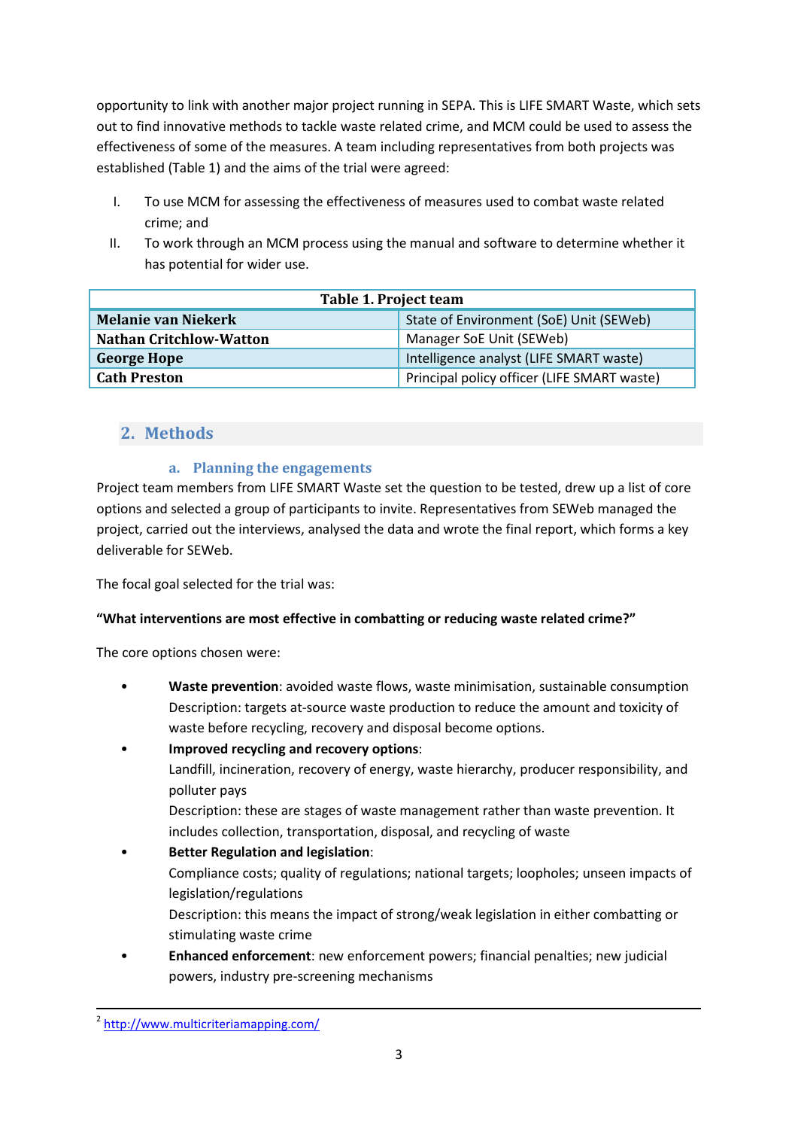opportunity to link with another major project running in SEPA. This is LIFE SMART Waste, which sets out to find innovative methods to tackle waste related crime, and MCM could be used to assess the effectiveness of some of the measures. A team including representatives from both projects was established (Table 1) and the aims of the trial were agreed:

- I. To use MCM for assessing the effectiveness of measures used to combat waste related crime; and
- II. To work through an MCM process using the manual and software to determine whether it has potential for wider use.

| Table 1. Project team          |                                             |  |  |  |
|--------------------------------|---------------------------------------------|--|--|--|
| <b>Melanie van Niekerk</b>     | State of Environment (SoE) Unit (SEWeb)     |  |  |  |
| <b>Nathan Critchlow-Watton</b> | Manager SoE Unit (SEWeb)                    |  |  |  |
| <b>George Hope</b>             | Intelligence analyst (LIFE SMART waste)     |  |  |  |
| <b>Cath Preston</b>            | Principal policy officer (LIFE SMART waste) |  |  |  |

## <span id="page-2-1"></span><span id="page-2-0"></span>**2. Methods**

#### **a. Planning the engagements**

Project team members from LIFE SMART Waste set the question to be tested, drew up a list of core options and selected a group of participants to invite. Representatives from SEWeb managed the project, carried out the interviews, analysed the data and wrote the final report, which forms a key deliverable for SEWeb.

The focal goal selected for the trial was:

#### **"What interventions are most effective in combatting or reducing waste related crime?"**

The core options chosen were:

- **Waste prevention**: avoided waste flows, waste minimisation, sustainable consumption Description: targets at-source waste production to reduce the amount and toxicity of waste before recycling, recovery and disposal become options.
- **Improved recycling and recovery options**: Landfill, incineration, recovery of energy, waste hierarchy, producer responsibility, and polluter pays
	- Description: these are stages of waste management rather than waste prevention. It includes collection, transportation, disposal, and recycling of waste
- **Better Regulation and legislation**: Compliance costs; quality of regulations; national targets; loopholes; unseen impacts of legislation/regulations Description: this means the impact of strong/weak legislation in either combatting or stimulating waste crime
- **Enhanced enforcement**: new enforcement powers; financial penalties; new judicial powers, industry pre-screening mechanisms

2 <http://www.multicriteriamapping.com/>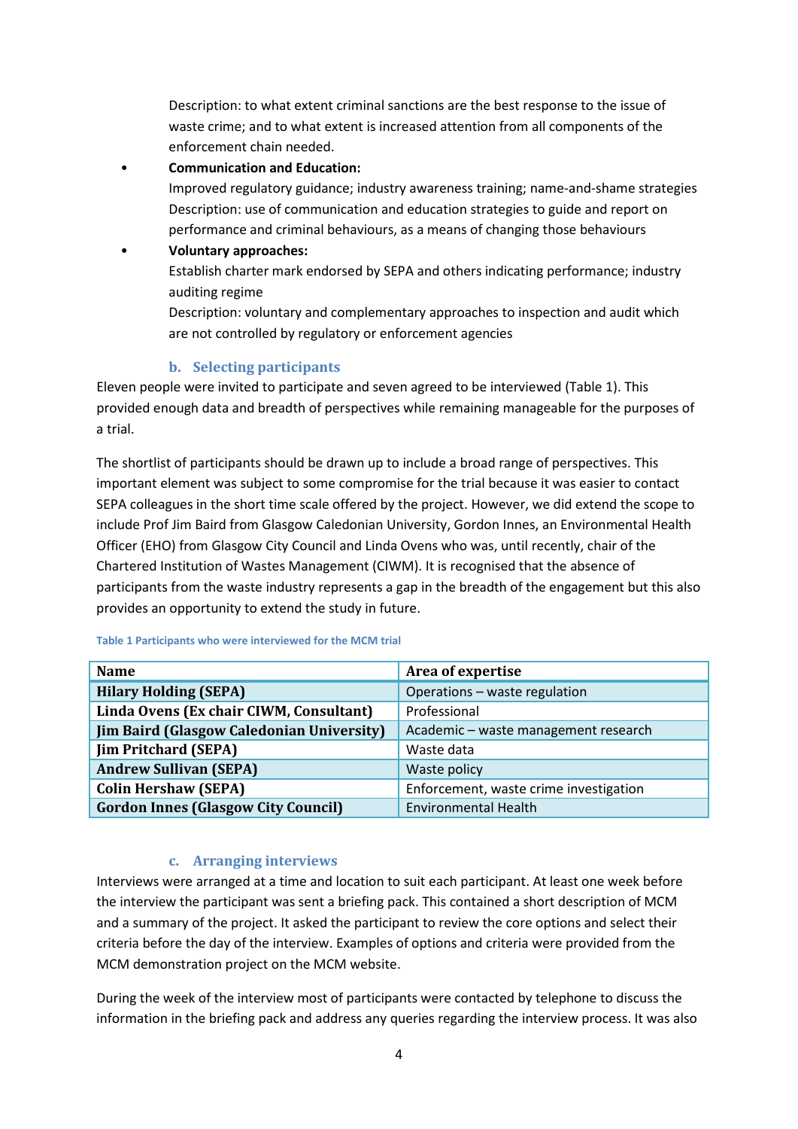Description: to what extent criminal sanctions are the best response to the issue of waste crime; and to what extent is increased attention from all components of the enforcement chain needed.

• **Communication and Education:** 

Improved regulatory guidance; industry awareness training; name-and-shame strategies Description: use of communication and education strategies to guide and report on performance and criminal behaviours, as a means of changing those behaviours

• **Voluntary approaches:**  Establish charter mark endorsed by SEPA and others indicating performance; industry auditing regime

Description: voluntary and complementary approaches to inspection and audit which are not controlled by regulatory or enforcement agencies

#### **b. Selecting participants**

<span id="page-3-0"></span>Eleven people were invited to participate and seven agreed to be interviewed (Table 1). This provided enough data and breadth of perspectives while remaining manageable for the purposes of a trial.

The shortlist of participants should be drawn up to include a broad range of perspectives. This important element was subject to some compromise for the trial because it was easier to contact SEPA colleagues in the short time scale offered by the project. However, we did extend the scope to include Prof Jim Baird from Glasgow Caledonian University, Gordon Innes, an Environmental Health Officer (EHO) from Glasgow City Council and Linda Ovens who was, until recently, chair of the Chartered Institution of Wastes Management (CIWM). It is recognised that the absence of participants from the waste industry represents a gap in the breadth of the engagement but this also provides an opportunity to extend the study in future.

| <b>Name</b>                                      | Area of expertise                      |  |
|--------------------------------------------------|----------------------------------------|--|
| <b>Hilary Holding (SEPA)</b>                     | Operations - waste regulation          |  |
| Linda Ovens (Ex chair CIWM, Consultant)          | Professional                           |  |
| <b>Jim Baird (Glasgow Caledonian University)</b> | Academic - waste management research   |  |
| <b>Jim Pritchard (SEPA)</b>                      | Waste data                             |  |
| <b>Andrew Sullivan (SEPA)</b>                    | Waste policy                           |  |
| <b>Colin Hershaw (SEPA)</b>                      | Enforcement, waste crime investigation |  |
| <b>Gordon Innes (Glasgow City Council)</b>       | <b>Environmental Health</b>            |  |

**Table 1 Participants who were interviewed for the MCM trial**

#### **c. Arranging interviews**

<span id="page-3-1"></span>Interviews were arranged at a time and location to suit each participant. At least one week before the interview the participant was sent a briefing pack. This contained a short description of MCM and a summary of the project. It asked the participant to review the core options and select their criteria before the day of the interview. Examples of options and criteria were provided from the MCM demonstration project on the MCM website.

During the week of the interview most of participants were contacted by telephone to discuss the information in the briefing pack and address any queries regarding the interview process. It was also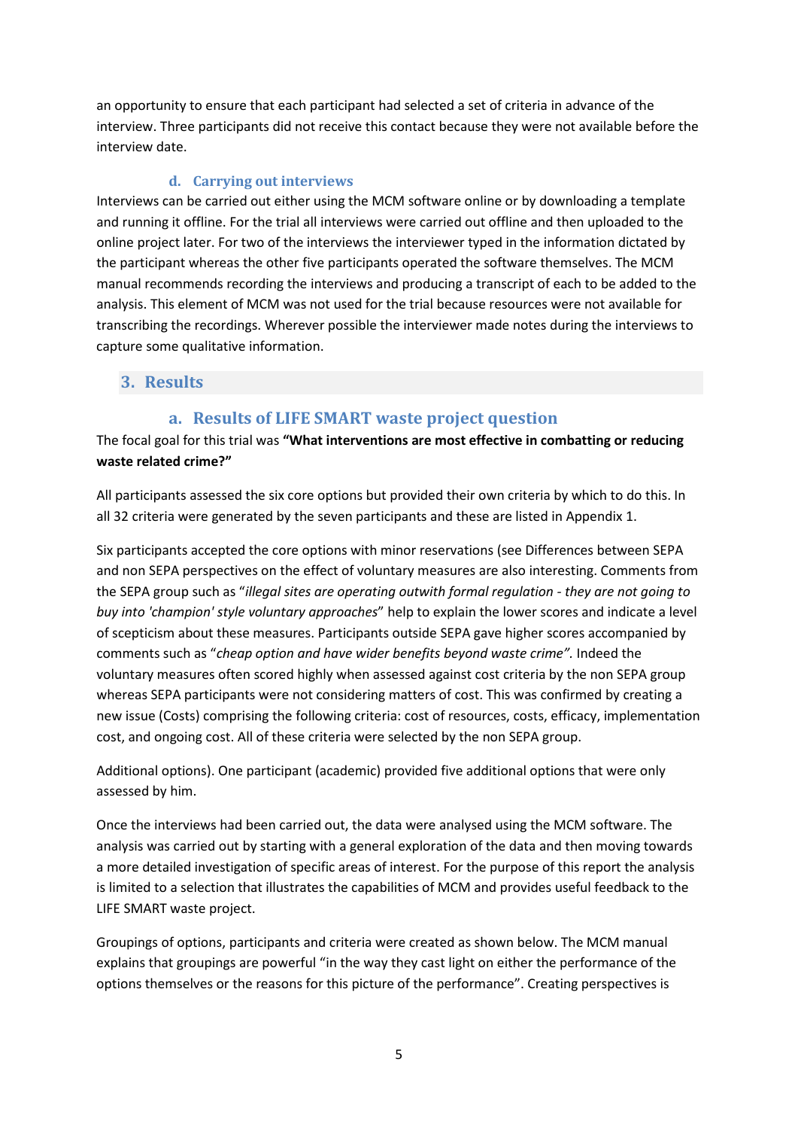an opportunity to ensure that each participant had selected a set of criteria in advance of the interview. Three participants did not receive this contact because they were not available before the interview date.

#### **d. Carrying out interviews**

<span id="page-4-0"></span>Interviews can be carried out either using the MCM software online or by downloading a template and running it offline. For the trial all interviews were carried out offline and then uploaded to the online project later. For two of the interviews the interviewer typed in the information dictated by the participant whereas the other five participants operated the software themselves. The MCM manual recommends recording the interviews and producing a transcript of each to be added to the analysis. This element of MCM was not used for the trial because resources were not available for transcribing the recordings. Wherever possible the interviewer made notes during the interviews to capture some qualitative information.

#### <span id="page-4-2"></span><span id="page-4-1"></span>**3. Results**

#### **a. Results of LIFE SMART waste project question**

#### The focal goal for this trial was **"What interventions are most effective in combatting or reducing waste related crime?"**

All participants assessed the six core options but provided their own criteria by which to do this. In all 32 criteria were generated by the seven participants and these are listed in Appendix 1.

Six participants accepted the core options with minor reservations (see [Differences between SEPA](#page-8-0)  [and non SEPA perspectives on the effect of voluntary measures are also interesting. Comments from](#page-8-0)  the SEPA group such as "*[illegal sites are operating outwith formal regulation -](#page-8-0) they are not going to buy into 'champion' style voluntary approaches*[" help to explain the lower scores and indicate a level](#page-8-0)  [of scepticism about these measures. Participants outside SEPA gave higher scores accompanied by](#page-8-0)  comments such as "*[cheap option and have wider benefits beyond waste](#page-8-0) crime".* Indeed the [voluntary measures often scored highly when assessed against cost criteria by the non SEPA group](#page-8-0)  [whereas SEPA participants were not considering matters of cost. This was confirmed by creating a](#page-8-0)  new issue (Costs) comprising the following [criteria: cost of resources, costs, efficacy, implementation](#page-8-0)  [cost, and ongoing cost. All of these criteria were selected by the non SEPA group.](#page-8-0)

[Additional options\)](#page-8-0). One participant (academic) provided five additional options that were only assessed by him.

Once the interviews had been carried out, the data were analysed using the MCM software. The analysis was carried out by starting with a general exploration of the data and then moving towards a more detailed investigation of specific areas of interest. For the purpose of this report the analysis is limited to a selection that illustrates the capabilities of MCM and provides useful feedback to the LIFE SMART waste project.

Groupings of options, participants and criteria were created as shown below. The MCM manual explains that groupings are powerful "in the way they cast light on either the performance of the options themselves or the reasons for this picture of the performance". Creating perspectives is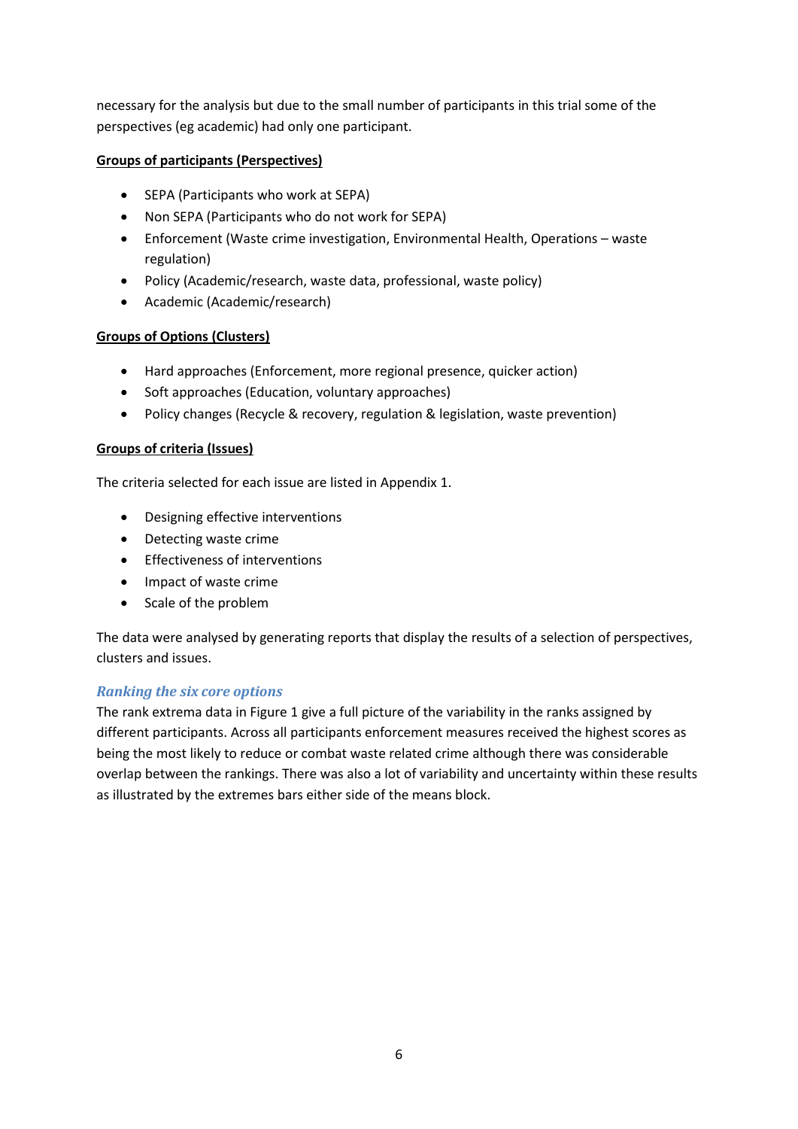necessary for the analysis but due to the small number of participants in this trial some of the perspectives (eg academic) had only one participant.

#### **Groups of participants (Perspectives)**

- SEPA (Participants who work at SEPA)
- Non SEPA (Participants who do not work for SEPA)
- Enforcement (Waste crime investigation, Environmental Health, Operations waste regulation)
- Policy (Academic/research, waste data, professional, waste policy)
- Academic (Academic/research)

#### **Groups of Options (Clusters)**

- Hard approaches (Enforcement, more regional presence, quicker action)
- Soft approaches (Education, voluntary approaches)
- Policy changes (Recycle & recovery, regulation & legislation, waste prevention)

#### **Groups of criteria (Issues)**

The criteria selected for each issue are listed in Appendix 1.

- Designing effective interventions
- Detecting waste crime
- Effectiveness of interventions
- Impact of waste crime
- Scale of the problem

The data were analysed by generating reports that display the results of a selection of perspectives, clusters and issues.

#### *Ranking the six core options*

The rank extrema data in Figure 1 give a full picture of the variability in the ranks assigned by different participants. Across all participants enforcement measures received the highest scores as being the most likely to reduce or combat waste related crime although there was considerable overlap between the rankings. There was also a lot of variability and uncertainty within these results as illustrated by the extremes bars either side of the means block.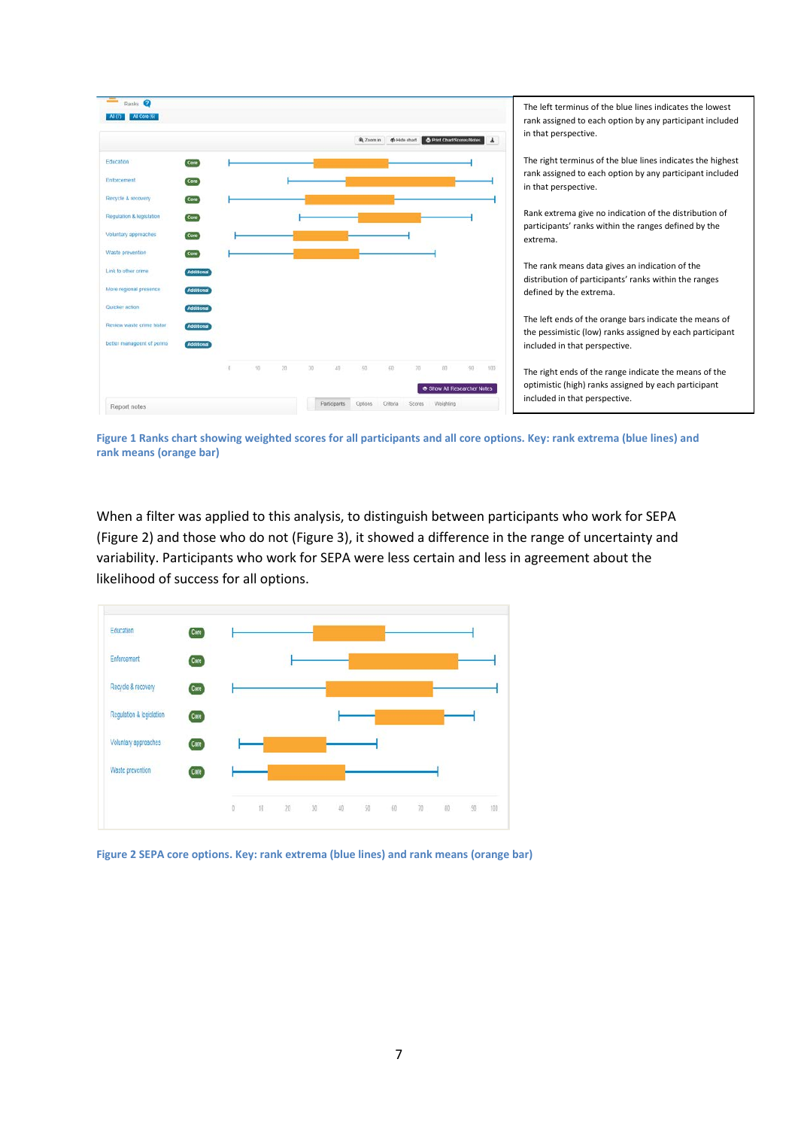

**Figure 1 Ranks chart showing weighted scores for all participants and all core options. Key: rank extrema (blue lines) and rank means (orange bar)**

When a filter was applied to this analysis, to distinguish between participants who work for SEPA (Figure 2) and those who do not (Figure 3), it showed a difference in the range of uncertainty and variability. Participants who work for SEPA were less certain and less in agreement about the likelihood of success for all options.



**Figure 2 SEPA core options. Key: rank extrema (blue lines) and rank means (orange bar)**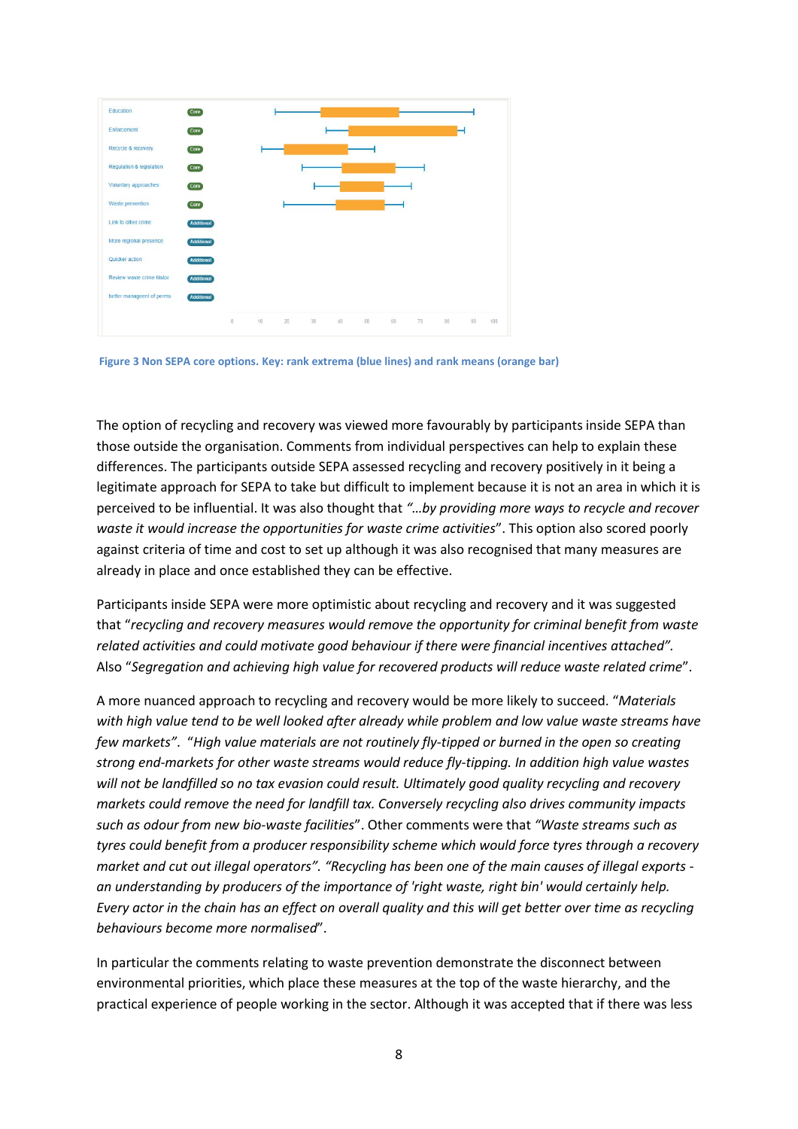

**Figure 3 Non SEPA core options. Key: rank extrema (blue lines) and rank means (orange bar)**

The option of recycling and recovery was viewed more favourably by participants inside SEPA than those outside the organisation. Comments from individual perspectives can help to explain these differences. The participants outside SEPA assessed recycling and recovery positively in it being a legitimate approach for SEPA to take but difficult to implement because it is not an area in which it is perceived to be influential. It was also thought that *"…by providing more ways to recycle and recover waste it would increase the opportunities for waste crime activities*". This option also scored poorly against criteria of time and cost to set up although it was also recognised that many measures are already in place and once established they can be effective.

Participants inside SEPA were more optimistic about recycling and recovery and it was suggested that "*recycling and recovery measures would remove the opportunity for criminal benefit from waste related activities and could motivate good behaviour if there were financial incentives attached".* Also "*Segregation and achieving high value for recovered products will reduce waste related crime*".

A more nuanced approach to recycling and recovery would be more likely to succeed. "*Materials with high value tend to be well looked after already while problem and low value waste streams have few markets"*. "*High value materials are not routinely fly-tipped or burned in the open so creating strong end-markets for other waste streams would reduce fly-tipping. In addition high value wastes will not be landfilled so no tax evasion could result. Ultimately good quality recycling and recovery markets could remove the need for landfill tax. Conversely recycling also drives community impacts such as odour from new bio-waste facilities*". Other comments were that *"Waste streams such as tyres could benefit from a producer responsibility scheme which would force tyres through a recovery market and cut out illegal operators". "Recycling has been one of the main causes of illegal exports an understanding by producers of the importance of 'right waste, right bin' would certainly help. Every actor in the chain has an effect on overall quality and this will get better over time as recycling behaviours become more normalised*".

In particular the comments relating to waste prevention demonstrate the disconnect between environmental priorities, which place these measures at the top of the waste hierarchy, and the practical experience of people working in the sector. Although it was accepted that if there was less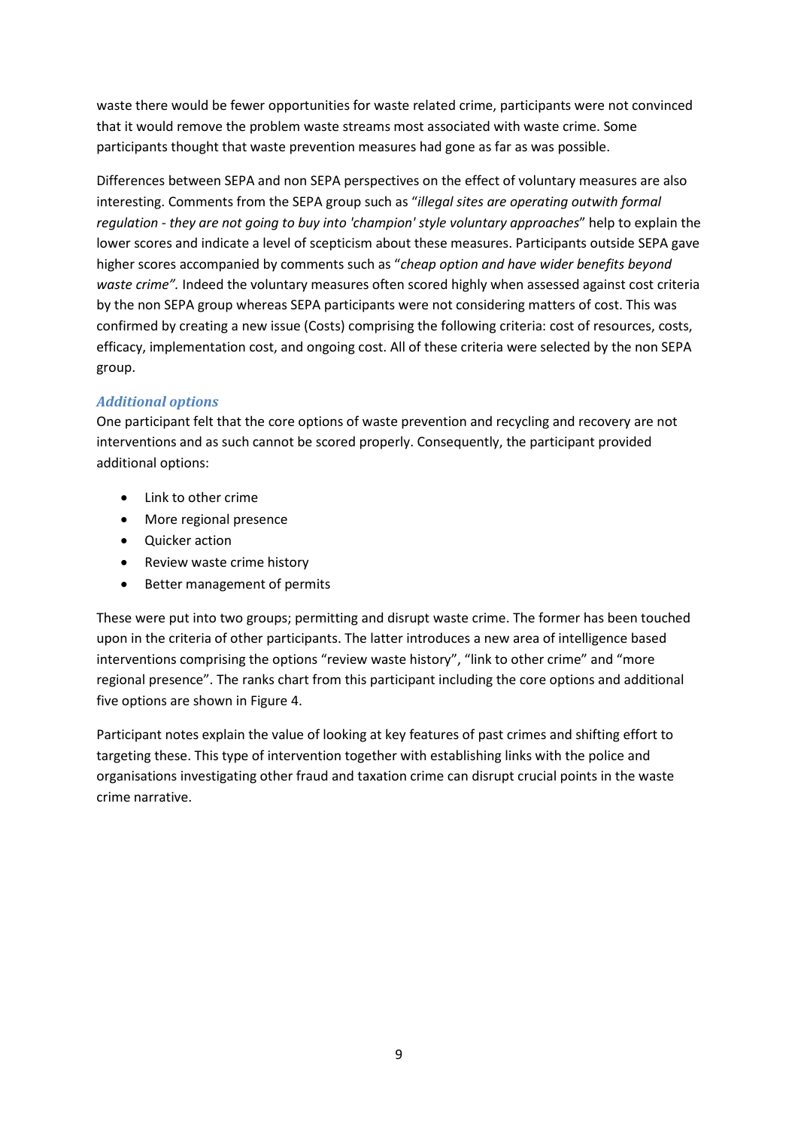waste there would be fewer opportunities for waste related crime, participants were not convinced that it would remove the problem waste streams most associated with waste crime. Some participants thought that waste prevention measures had gone as far as was possible.

<span id="page-8-0"></span>Differences between SEPA and non SEPA perspectives on the effect of voluntary measures are also interesting. Comments from the SEPA group such as "*illegal sites are operating outwith formal regulation - they are not going to buy into 'champion' style voluntary approaches*" help to explain the lower scores and indicate a level of scepticism about these measures. Participants outside SEPA gave higher scores accompanied by comments such as "*cheap option and have wider benefits beyond waste crime".* Indeed the voluntary measures often scored highly when assessed against cost criteria by the non SEPA group whereas SEPA participants were not considering matters of cost. This was confirmed by creating a new issue (Costs) comprising the following criteria: cost of resources, costs, efficacy, implementation cost, and ongoing cost. All of these criteria were selected by the non SEPA group.

#### *Additional options*

One participant felt that the core options of waste prevention and recycling and recovery are not interventions and as such cannot be scored properly. Consequently, the participant provided additional options:

- Link to other crime
- More regional presence
- Quicker action
- Review waste crime history
- Better management of permits

These were put into two groups; permitting and disrupt waste crime. The former has been touched upon in the criteria of other participants. The latter introduces a new area of intelligence based interventions comprising the options "review waste history", "link to other crime" and "more regional presence". The ranks chart from this participant including the core options and additional five options are shown in Figure 4.

Participant notes explain the value of looking at key features of past crimes and shifting effort to targeting these. This type of intervention together with establishing links with the police and organisations investigating other fraud and taxation crime can disrupt crucial points in the waste crime narrative.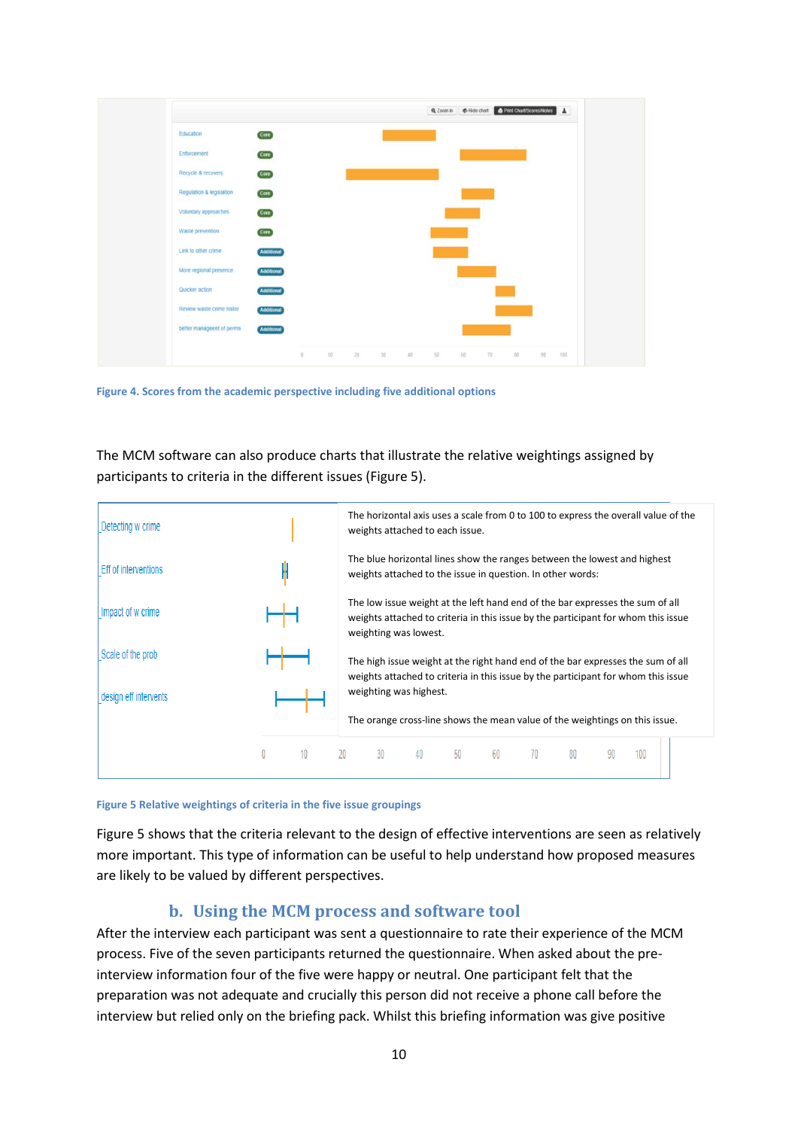

**Figure 4. Scores from the academic perspective including five additional options**

The MCM software can also produce charts that illustrate the relative weightings assigned by participants to criteria in the different issues (Figure 5).



**Figure 5 Relative weightings of criteria in the five issue groupings**

Figure 5 shows that the criteria relevant to the design of effective interventions are seen as relatively more important. This type of information can be useful to help understand how proposed measures are likely to be valued by different perspectives.

## **b. Using the MCM process and software tool**

<span id="page-9-0"></span>After the interview each participant was sent a questionnaire to rate their experience of the MCM process. Five of the seven participants returned the questionnaire. When asked about the preinterview information four of the five were happy or neutral. One participant felt that the preparation was not adequate and crucially this person did not receive a phone call before the interview but relied only on the briefing pack. Whilst this briefing information was give positive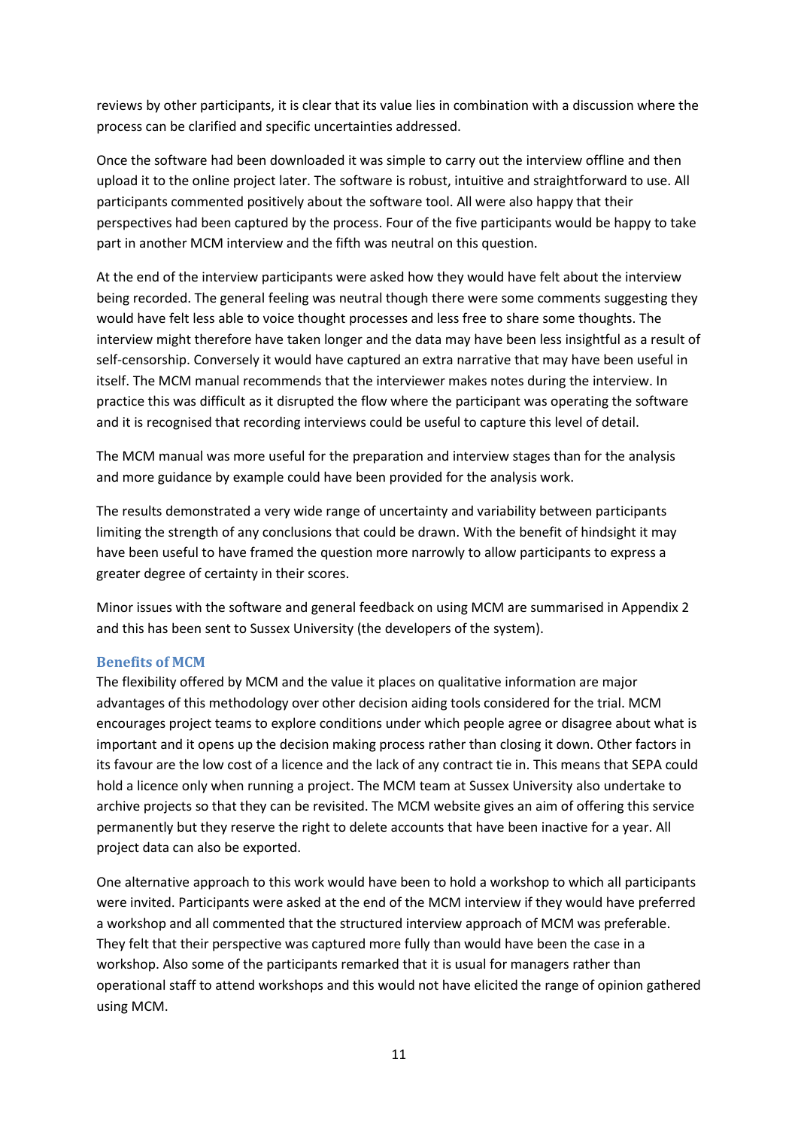reviews by other participants, it is clear that its value lies in combination with a discussion where the process can be clarified and specific uncertainties addressed.

Once the software had been downloaded it was simple to carry out the interview offline and then upload it to the online project later. The software is robust, intuitive and straightforward to use. All participants commented positively about the software tool. All were also happy that their perspectives had been captured by the process. Four of the five participants would be happy to take part in another MCM interview and the fifth was neutral on this question.

At the end of the interview participants were asked how they would have felt about the interview being recorded. The general feeling was neutral though there were some comments suggesting they would have felt less able to voice thought processes and less free to share some thoughts. The interview might therefore have taken longer and the data may have been less insightful as a result of self-censorship. Conversely it would have captured an extra narrative that may have been useful in itself. The MCM manual recommends that the interviewer makes notes during the interview. In practice this was difficult as it disrupted the flow where the participant was operating the software and it is recognised that recording interviews could be useful to capture this level of detail.

The MCM manual was more useful for the preparation and interview stages than for the analysis and more guidance by example could have been provided for the analysis work.

The results demonstrated a very wide range of uncertainty and variability between participants limiting the strength of any conclusions that could be drawn. With the benefit of hindsight it may have been useful to have framed the question more narrowly to allow participants to express a greater degree of certainty in their scores.

Minor issues with the software and general feedback on using MCM are summarised in Appendix 2 and this has been sent to Sussex University (the developers of the system).

#### <span id="page-10-0"></span>**Benefits of MCM**

The flexibility offered by MCM and the value it places on qualitative information are major advantages of this methodology over other decision aiding tools considered for the trial. MCM encourages project teams to explore conditions under which people agree or disagree about what is important and it opens up the decision making process rather than closing it down. Other factors in its favour are the low cost of a licence and the lack of any contract tie in. This means that SEPA could hold a licence only when running a project. The MCM team at Sussex University also undertake to archive projects so that they can be revisited. The MCM website gives an aim of offering this service permanently but they reserve the right to delete accounts that have been inactive for a year. All project data can also be exported.

One alternative approach to this work would have been to hold a workshop to which all participants were invited. Participants were asked at the end of the MCM interview if they would have preferred a workshop and all commented that the structured interview approach of MCM was preferable. They felt that their perspective was captured more fully than would have been the case in a workshop. Also some of the participants remarked that it is usual for managers rather than operational staff to attend workshops and this would not have elicited the range of opinion gathered using MCM.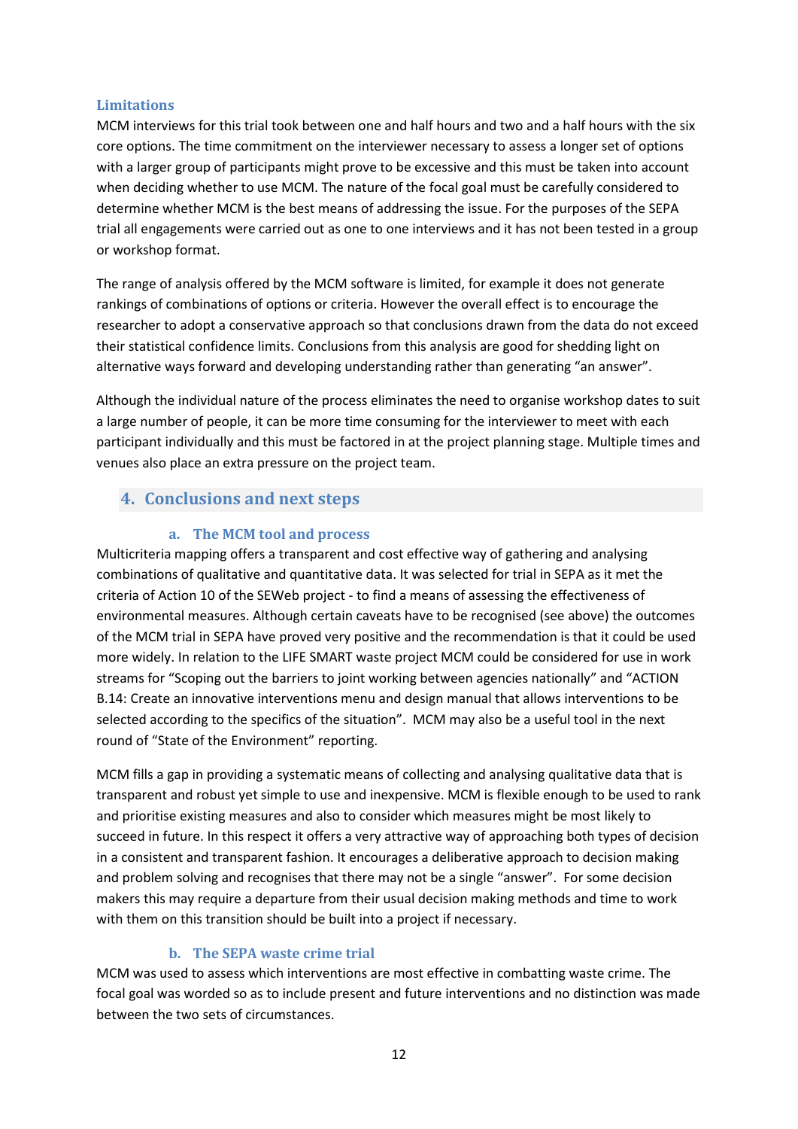#### <span id="page-11-0"></span>**Limitations**

MCM interviews for this trial took between one and half hours and two and a half hours with the six core options. The time commitment on the interviewer necessary to assess a longer set of options with a larger group of participants might prove to be excessive and this must be taken into account when deciding whether to use MCM. The nature of the focal goal must be carefully considered to determine whether MCM is the best means of addressing the issue. For the purposes of the SEPA trial all engagements were carried out as one to one interviews and it has not been tested in a group or workshop format.

The range of analysis offered by the MCM software is limited, for example it does not generate rankings of combinations of options or criteria. However the overall effect is to encourage the researcher to adopt a conservative approach so that conclusions drawn from the data do not exceed their statistical confidence limits. Conclusions from this analysis are good for shedding light on alternative ways forward and developing understanding rather than generating "an answer".

Although the individual nature of the process eliminates the need to organise workshop dates to suit a large number of people, it can be more time consuming for the interviewer to meet with each participant individually and this must be factored in at the project planning stage. Multiple times and venues also place an extra pressure on the project team.

#### <span id="page-11-2"></span><span id="page-11-1"></span>**4. Conclusions and next steps**

#### **a. The MCM tool and process**

Multicriteria mapping offers a transparent and cost effective way of gathering and analysing combinations of qualitative and quantitative data. It was selected for trial in SEPA as it met the criteria of Action 10 of the SEWeb project - to find a means of assessing the effectiveness of environmental measures. Although certain caveats have to be recognised (see above) the outcomes of the MCM trial in SEPA have proved very positive and the recommendation is that it could be used more widely. In relation to the LIFE SMART waste project MCM could be considered for use in work streams for "Scoping out the barriers to joint working between agencies nationally" and "ACTION B.14: Create an innovative interventions menu and design manual that allows interventions to be selected according to the specifics of the situation". MCM may also be a useful tool in the next round of "State of the Environment" reporting.

MCM fills a gap in providing a systematic means of collecting and analysing qualitative data that is transparent and robust yet simple to use and inexpensive. MCM is flexible enough to be used to rank and prioritise existing measures and also to consider which measures might be most likely to succeed in future. In this respect it offers a very attractive way of approaching both types of decision in a consistent and transparent fashion. It encourages a deliberative approach to decision making and problem solving and recognises that there may not be a single "answer". For some decision makers this may require a departure from their usual decision making methods and time to work with them on this transition should be built into a project if necessary.

#### **b. The SEPA waste crime trial**

<span id="page-11-3"></span>MCM was used to assess which interventions are most effective in combatting waste crime. The focal goal was worded so as to include present and future interventions and no distinction was made between the two sets of circumstances.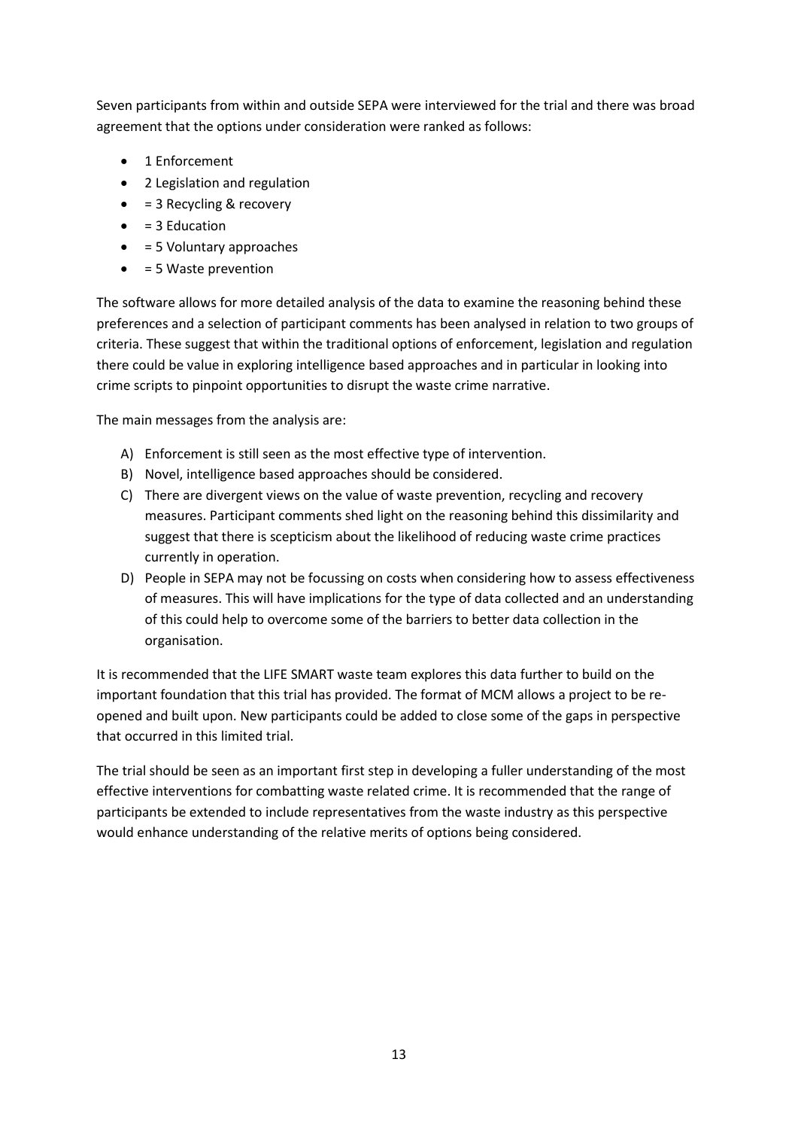Seven participants from within and outside SEPA were interviewed for the trial and there was broad agreement that the options under consideration were ranked as follows:

- 1 Enforcement
- 2 Legislation and regulation
- = 3 Recycling & recovery
- $\bullet$  = 3 Education
- $\bullet$  = 5 Voluntary approaches
- $\bullet$  = 5 Waste prevention

The software allows for more detailed analysis of the data to examine the reasoning behind these preferences and a selection of participant comments has been analysed in relation to two groups of criteria. These suggest that within the traditional options of enforcement, legislation and regulation there could be value in exploring intelligence based approaches and in particular in looking into crime scripts to pinpoint opportunities to disrupt the waste crime narrative.

The main messages from the analysis are:

- A) Enforcement is still seen as the most effective type of intervention.
- B) Novel, intelligence based approaches should be considered.
- C) There are divergent views on the value of waste prevention, recycling and recovery measures. Participant comments shed light on the reasoning behind this dissimilarity and suggest that there is scepticism about the likelihood of reducing waste crime practices currently in operation.
- D) People in SEPA may not be focussing on costs when considering how to assess effectiveness of measures. This will have implications for the type of data collected and an understanding of this could help to overcome some of the barriers to better data collection in the organisation.

It is recommended that the LIFE SMART waste team explores this data further to build on the important foundation that this trial has provided. The format of MCM allows a project to be reopened and built upon. New participants could be added to close some of the gaps in perspective that occurred in this limited trial.

The trial should be seen as an important first step in developing a fuller understanding of the most effective interventions for combatting waste related crime. It is recommended that the range of participants be extended to include representatives from the waste industry as this perspective would enhance understanding of the relative merits of options being considered.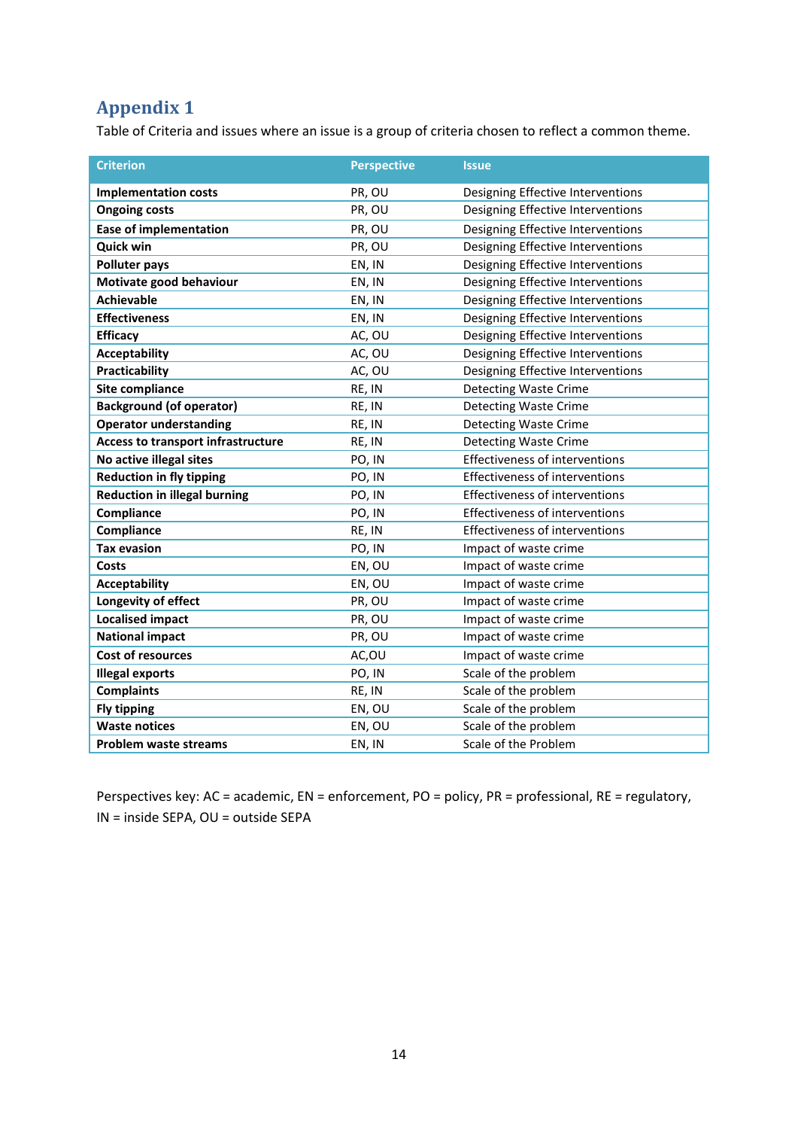# <span id="page-13-0"></span>**Appendix 1**

Table of Criteria and issues where an issue is a group of criteria chosen to reflect a common theme.

| <b>Criterion</b>                          | <b>Perspective</b> | <b>Issue</b>                          |
|-------------------------------------------|--------------------|---------------------------------------|
| <b>Implementation costs</b>               | PR, OU             | Designing Effective Interventions     |
| <b>Ongoing costs</b>                      | PR, OU             | Designing Effective Interventions     |
| <b>Ease of implementation</b>             | PR, OU             | Designing Effective Interventions     |
| <b>Quick win</b>                          | PR, OU             | Designing Effective Interventions     |
| <b>Polluter pays</b>                      | EN, IN             | Designing Effective Interventions     |
| Motivate good behaviour                   | EN, IN             | Designing Effective Interventions     |
| <b>Achievable</b>                         | EN, IN             | Designing Effective Interventions     |
| <b>Effectiveness</b>                      | EN, IN             | Designing Effective Interventions     |
| <b>Efficacy</b>                           | AC, OU             | Designing Effective Interventions     |
| <b>Acceptability</b>                      | AC, OU             | Designing Effective Interventions     |
| <b>Practicability</b>                     | AC, OU             | Designing Effective Interventions     |
| Site compliance                           | RE, IN             | <b>Detecting Waste Crime</b>          |
| <b>Background (of operator)</b>           | RE, IN             | <b>Detecting Waste Crime</b>          |
| <b>Operator understanding</b>             | RE, IN             | <b>Detecting Waste Crime</b>          |
| <b>Access to transport infrastructure</b> | RE, IN             | <b>Detecting Waste Crime</b>          |
| No active illegal sites                   | PO, IN             | <b>Effectiveness of interventions</b> |
| <b>Reduction in fly tipping</b>           | PO, IN             | Effectiveness of interventions        |
| <b>Reduction in illegal burning</b>       | PO, IN             | <b>Effectiveness of interventions</b> |
| Compliance                                | PO, IN             | <b>Effectiveness of interventions</b> |
| Compliance                                | RE, IN             | <b>Effectiveness of interventions</b> |
| <b>Tax evasion</b>                        | PO, IN             | Impact of waste crime                 |
| <b>Costs</b>                              | EN, OU             | Impact of waste crime                 |
| <b>Acceptability</b>                      | EN, OU             | Impact of waste crime                 |
| Longevity of effect                       | PR, OU             | Impact of waste crime                 |
| <b>Localised impact</b>                   | PR, OU             | Impact of waste crime                 |
| <b>National impact</b>                    | PR, OU             | Impact of waste crime                 |
| <b>Cost of resources</b>                  | AC,OU              | Impact of waste crime                 |
| <b>Illegal exports</b>                    | PO, IN             | Scale of the problem                  |
| <b>Complaints</b>                         | RE, IN             | Scale of the problem                  |
| <b>Fly tipping</b>                        | EN, OU             | Scale of the problem                  |
| <b>Waste notices</b>                      | EN, OU             | Scale of the problem                  |
| <b>Problem waste streams</b>              | EN, IN             | Scale of the Problem                  |

Perspectives key: AC = academic, EN = enforcement, PO = policy, PR = professional, RE = regulatory, IN = inside SEPA, OU = outside SEPA